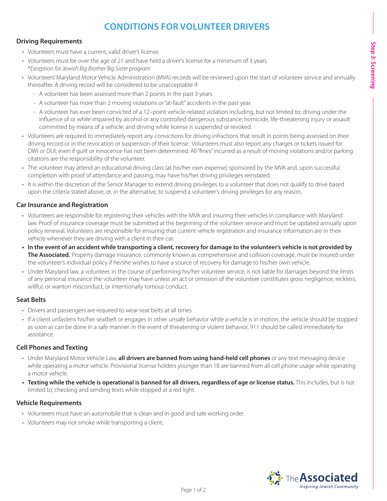# **CONDITIONS FOR VOLUNTEER DRIVERS**

## **Driving Requirements**

- Volunteers must have a current, valid driver's license.
- Volunteers must be over the age of 21 and have held a driver's license for a minimum of 3 years. \**Exception for Jewish Big Brother Big Sister program*
- Volunteers' Maryland Motor Vehicle Administration (MVA) records will be reviewed upon the start of volunteer service and annually thereafter. A driving record will be considered to be unacceptable if:
	- A volunteer has been assessed more than 2 points in the past 3 years.
	- A volunteer has more than 2 moving violations or "at-fault" accidents in the past year.
	- A volunteer has ever been convicted of a 12–point vehicle-related violation including, but not limited to: driving under the influence of or while impaired by alcohol or any controlled dangerous substance; homicide, life-threatening injury or assault committed by means of a vehicle; and driving while license is suspended or revoked.
- Volunteers are required to immediately report any convictions for driving infractions that result in points being assessed on their driving record or in the revocation or suspension of their license. Volunteers must also report any charges or tickets issued for DWI or DUI, even if guilt or innocence has not been determined. All "fines" incurred as a result of moving violations and/or parking citations are the responsibility of the volunteer.
- The volunteer may attend an educational driving class (at his/her own expense) sponsored by the MVA and, upon successful completion with proof of attendance and passing, may have his/her driving privileges reinstated.
- It is within the discretion of the Senior Manager to extend driving privileges to a volunteer that does not qualify to drive based upon the criteria stated above, or, in the alternative, to suspend a volunteer's driving privileges for any reason.

## **Car Insurance and Registration**

- Volunteers are responsible for registering their vehicles with the MVA and insuring their vehicles in compliance with Maryland law. Proof of insurance coverage must be submitted at the beginning of the volunteer service and must be updated annually upon policy renewal. Volunteers are responsible for ensuring that current vehicle registration and insurance information are in their vehicle whenever they are driving with a client in their car.
- **• In the event of an accident while transporting a client, recovery for damage to the volunteer's vehicle is not provided by The Associated.** Property damage insurance, commonly known as comprehensive and collision coverage, must be insured under the volunteer's individual policy if he/she wishes to have a source of recovery for damage to his/her own vehicle.
- Under Maryland law, a volunteer, in the course of performing his/her volunteer service, is not liable for damages beyond the limits of any personal insurance the volunteer may have unless an act or omission of the volunteer constitutes gross negligence, reckless, willful, or wanton misconduct, or intentionally tortious conduct.

#### **Seat Belts**

- Drivers and passengers are required to wear seat belts at all times.
- If a client unfastens his/her seatbelt or engages in other unsafe behavior while a vehicle is in motion, the vehicle should be stopped as soon as can be done in a safe manner. In the event of threatening or violent behavior, 911 should be called immediately for assistance.

## **Cell Phones and Texting**

- Under Maryland Motor Vehicle Law, **all drivers are banned from using hand-held cell phones** or any text messaging device while operating a motor vehicle. Provisional license holders younger than 18 are banned from all cell phone usage while operating a motor vehicle.
- **• Texting while the vehicle is operational is banned for all drivers, regardless of age or license status.** This includes, but is not limited to, checking and sending texts while stopped at a red light.

#### **Vehicle Requirements**

- Volunteers must have an automobile that is clean and in good and safe working order.
- Volunteers may not smoke while transporting a client.